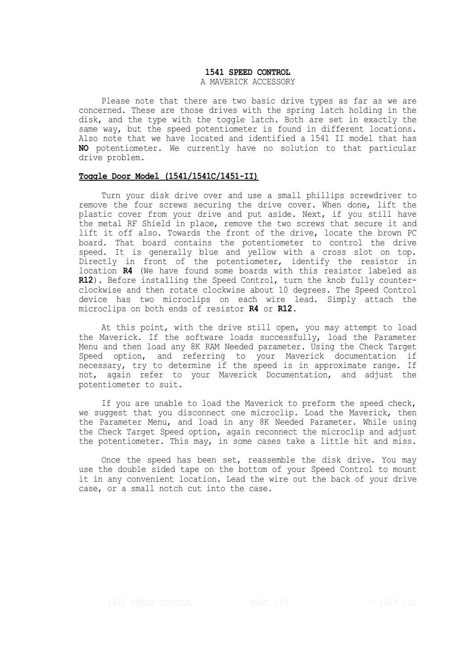# **1541 SPEED CONTROL**

### A MAVERICK ACCESSORY

Please note that there are two basic drive types as far as we are concerned. These are those drives with the spring latch holding in the disk, and the type with the toggle latch. Both are set in exactly the same way, but the speed potentiometer is found in different locations. Also note that we have located and identified a 1541 II model that has **NO** potentiometer. We currently have no solution to that particular drive problem.

## **Toggle Door Model (1541/1541C/1451-II)**

Turn your disk drive over and use a small phillips screwdriver to remove the four screws securing the drive cover. When done, lift the plastic cover from your drive and put aside. Next, if you still have the metal RF Shield in place, remove the two screws that secure it and lift it off also. Towards the front of the drive, locate the brown PC board. That board contains the potentiometer to control the drive speed. It is generally blue and yellow with a cross slot on top. Directly in front of the potentiometer, identify the resistor in location **R4** (We have found some boards with this resistor labeled as **R12**). Before installing the Speed Control, turn the knob fully counterclockwise and then rotate clockwise about 10 degrees. The Speed Control device has two microclips on each wire lead. Simply attach the microclips on both ends of resistor **R4** or **R12**.

At this point, with the drive still open, you may attempt to load the Maverick. If the software loads successfully, load the Parameter Menu and then load any 8K RAM Needed parameter. Using the Check Target Speed option, and referring to your Maverick documentation if necessary, try to determine if the speed is in approximate range. If not, again refer to your Maverick Documentation, and adjust the potentiometer to suit.

If you are unable to load the Maverick to preform the speed check, we suggest that you disconnect one microclip. Load the Maverick, then the Parameter Menu, and load in any 8K Needed Parameter. While using the Check Target Speed option, again reconnect the microclip and adjust the potentiometer. This may, in some cases take a little hit and miss.

Once the speed has been set, reassemble the disk drive. You may use the double sided tape on the bottom of your Speed Control to mount it in any convenient location. Lead the wire out the back of your drive case, or a small notch cut into the case.